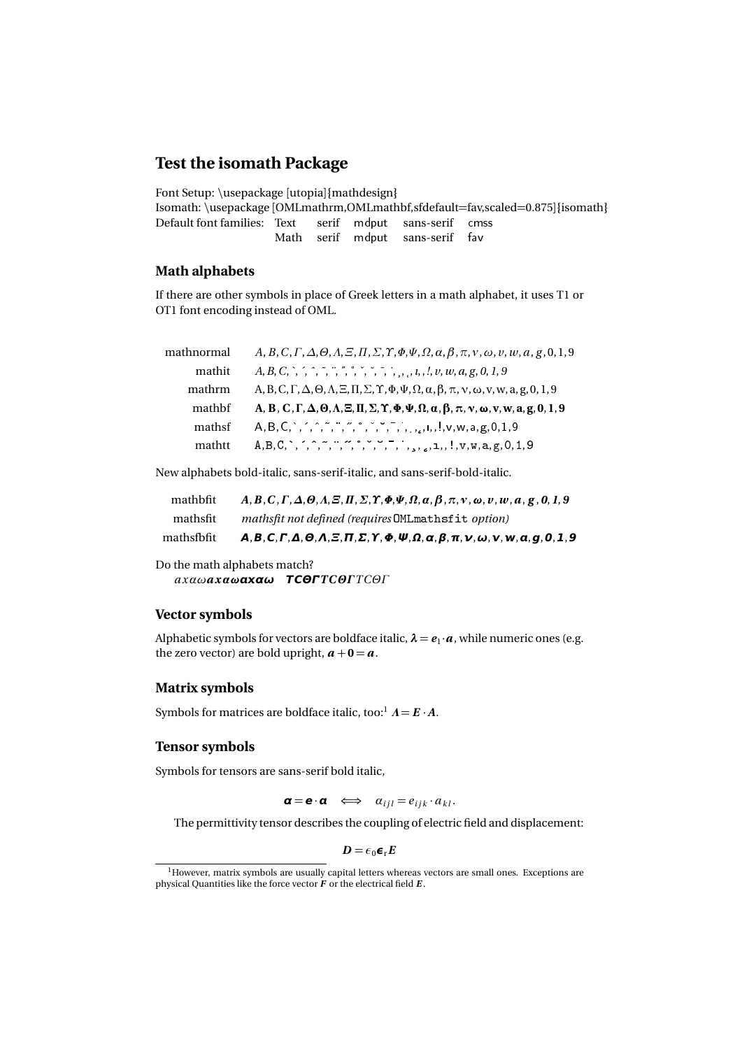# **Test the isomath Package**

Font Setup: \usepackage [utopia]{mathdesign} Isomath: \usepackage [OMLmathrm,OMLmathbf,sfdefault=fav,scaled=0.875]{isomath} Default font families: Text serif mdput sans-serif cmss Math serif mdput sans-serif fav

## **Math alphabets**

If there are other symbols in place of Greek letters in a math alphabet, it uses T1 or OT1 font encoding instead of OML.

| mathnormal | $A, B, C, \Gamma, \Delta, \Theta, \Lambda, \Xi, \Pi, \Sigma, \Upsilon, \Phi, \Psi, \Omega, \alpha, \beta, \pi, \nu, \omega, \nu, w, a, g, 0, 1, 9$                                                                                                                                                                                                                                                                                                      |
|------------|---------------------------------------------------------------------------------------------------------------------------------------------------------------------------------------------------------------------------------------------------------------------------------------------------------------------------------------------------------------------------------------------------------------------------------------------------------|
| mathit     | $A, B, C, \rightarrow, \rightarrow, \rightarrow, \rightarrow, \rightarrow, \rightarrow, \rightarrow, \rightarrow, \rightarrow, \rightarrow, l, l, v, w, a, g, 0, 1, 9$                                                                                                                                                                                                                                                                                  |
| mathrm     | A, B, C, $\Gamma$ , $\Delta$ , $\Theta$ , $\Lambda$ , $\Xi$ , $\Pi$ , $\Sigma$ , $\Upsilon$ , $\Phi$ , $\Psi$ , $\Omega$ , $\alpha$ , $\beta$ , $\pi$ , $\nu$ , $\omega$ , $\nu$ , $w$ , $a$ , $g$ , $0$ , $1$ , $9$                                                                                                                                                                                                                                    |
| mathbf     | A, B, C, $\Gamma$ , $\Delta$ , $\Theta$ , $\Lambda$ , $\Xi$ , $\Pi$ , $\Sigma$ , $\Upsilon$ , $\Phi$ , $\Psi$ , $\Omega$ , $\alpha$ , $\beta$ , $\pi$ , $\nu$ , $\omega$ , $v$ , $w$ , $a$ , $g$ , $0$ , $1$ , $9$                                                                                                                                                                                                                                      |
| mathsf     | $A, B, C, \dots, \hat{C}, \dots, \hat{C}, \dots, \hat{C}, \dots, \hat{C}, \dots, \hat{C}, \dots, \hat{C}, \dots, \hat{C}, \dots, \hat{C}, \dots, \hat{C}, \dots, \hat{C}, \dots, \hat{C}, \dots, \hat{C}, \dots, \hat{C}, \dots, \hat{C}, \dots, \hat{C}, \dots, \hat{C}, \dots, \hat{C}, \dots, \hat{C}, \dots, \hat{C}, \dots, \hat{C}, \dots, \hat{C}, \dots, \hat{C}, \dots, \hat{C}, \dots, \hat{C}, \dots, \hat{C}, \dots, \hat{C}, \dots, \hat{$ |
| mathtt     |                                                                                                                                                                                                                                                                                                                                                                                                                                                         |

New alphabets bold-italic, sans-serif-italic, and sans-serif-bold-italic.

| mathsfbfit- | $A, B, C, \Gamma, \Delta, \Theta, \Lambda, \Xi, \Pi, \Sigma, \Upsilon, \Phi, \Psi, \Omega, \alpha, \beta, \pi, \nu, \omega, \nu, w, \alpha, g, 0, 1, 9$ |
|-------------|---------------------------------------------------------------------------------------------------------------------------------------------------------|
| mathsfit    | mathsfit not defined (requires OMLmathsfit option)                                                                                                      |
| mathbfit    | $A, B, C, \Gamma, \Delta, \Theta, \Lambda, \Xi, \Pi, \Sigma, \Upsilon, \Phi, \Psi, \Omega, \alpha, \beta, \pi, \nu, \omega, \nu, w, a, g, 0, 1, 9$      |

Do the math alphabets match? *a xαωa xαω***αω TCΘ***TC ΘΓTCΘΓ*

#### **Vector symbols**

Alphabetic symbols for vectors are boldface italic,  $\lambda = e_1 \cdot a$ , while numeric ones (e.g. the zero vector) are bold upright,  $a + 0 = a$ .

#### **Matrix symbols**

Symbols for matrices are boldface italic, too:<sup>1</sup>  $A = E \cdot A$ .

#### **Tensor symbols**

Symbols for tensors are sans-serif bold italic,

 $\alpha = e \cdot \alpha \iff \alpha_{i i l} = e_{i j k} \cdot a_{k l}.$ 

The permittivity tensor describes the coupling of electric field and displacement:

 $D = \epsilon_0 \epsilon_r E$ 

<sup>1</sup>However, matrix symbols are usually capital letters whereas vectors are small ones. Exceptions are physical Quantities like the force vector *F* or the electrical field *E* .